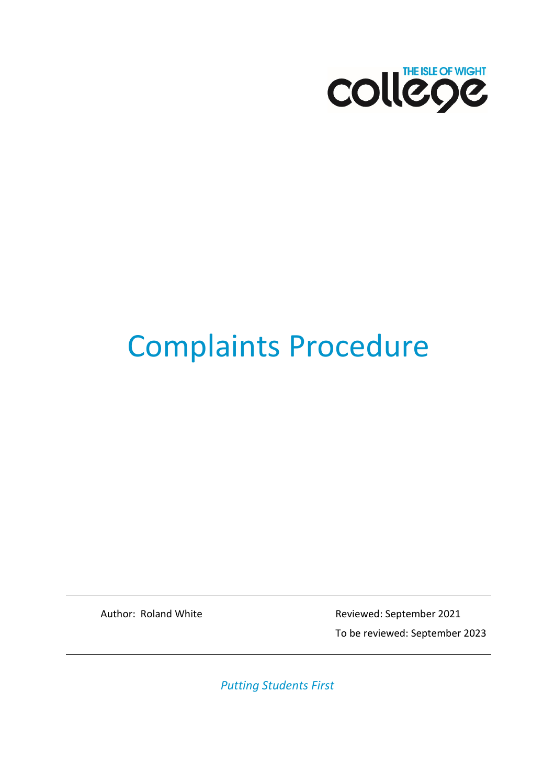

# Complaints Procedure

Author: Roland White Reviewed: September 2021 To be reviewed: September 2023

*Putting Students First*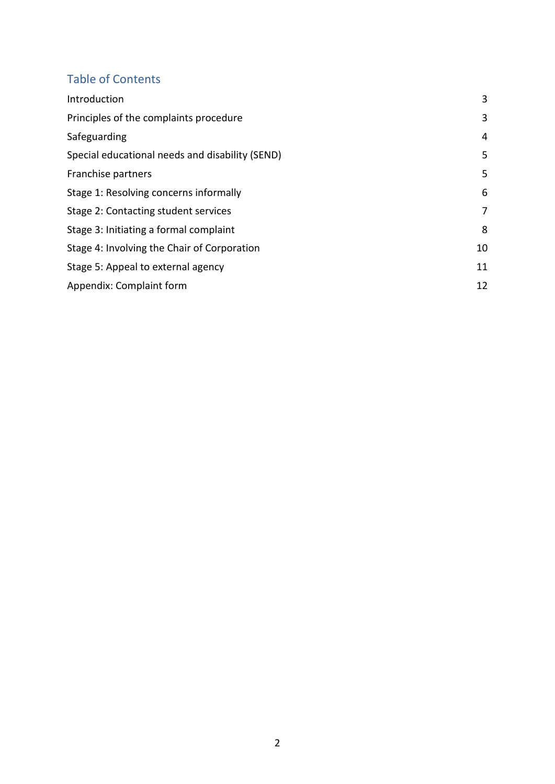#### Table of Contents

| Introduction                                    | 3  |
|-------------------------------------------------|----|
| Principles of the complaints procedure          | 3  |
| Safeguarding                                    | 4  |
| Special educational needs and disability (SEND) | 5  |
| Franchise partners                              | 5  |
| Stage 1: Resolving concerns informally          | 6  |
| Stage 2: Contacting student services            | 7  |
| Stage 3: Initiating a formal complaint          | 8  |
| Stage 4: Involving the Chair of Corporation     | 10 |
| Stage 5: Appeal to external agency              | 11 |
| Appendix: Complaint form                        | 12 |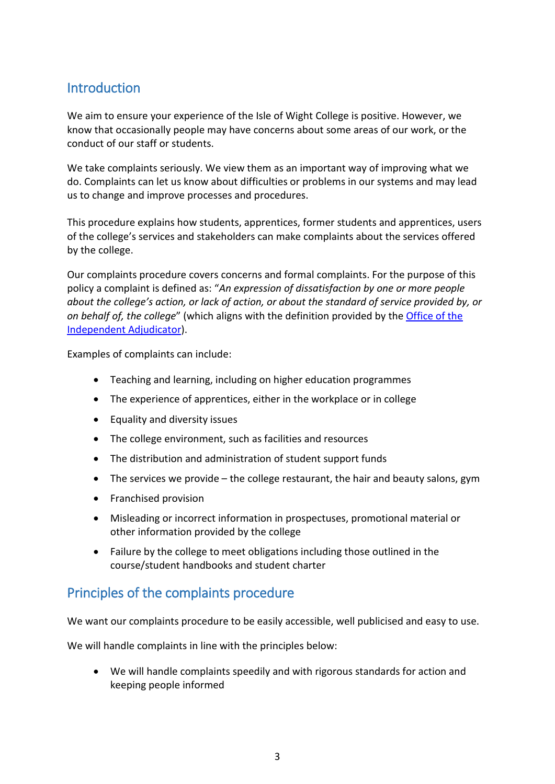#### <span id="page-2-0"></span>**Introduction**

We aim to ensure your experience of the Isle of Wight College is positive. However, we know that occasionally people may have concerns about some areas of our work, or the conduct of our staff or students.

We take complaints seriously. We view them as an important way of improving what we do. Complaints can let us know about difficulties or problems in our systems and may lead us to change and improve processes and procedures.

This procedure explains how students, apprentices, former students and apprentices, users of the college's services and stakeholders can make complaints about the services offered by the college.

Our complaints procedure covers concerns and formal complaints. For the purpose of this policy a complaint is defined as: "*An expression of dissatisfaction by one or more people about the college's action, or lack of action, or about the standard of service provided by, or on behalf of, the college*" (which aligns with the definition provided by th[e Office of the](https://www.oiahe.org.uk/resources-and-publications/good-practice-framework/handling-complaints-and-academic-appeals/complaints-and-academic-appeals/)  [Independent Adjudicator\)](https://www.oiahe.org.uk/resources-and-publications/good-practice-framework/handling-complaints-and-academic-appeals/complaints-and-academic-appeals/).

Examples of complaints can include:

- Teaching and learning, including on higher education programmes
- The experience of apprentices, either in the workplace or in college
- Equality and diversity issues
- The college environment, such as facilities and resources
- The distribution and administration of student support funds
- The services we provide the college restaurant, the hair and beauty salons, gym
- Franchised provision
- Misleading or incorrect information in prospectuses, promotional material or other information provided by the college
- Failure by the college to meet obligations including those outlined in the course/student handbooks and student charter

#### <span id="page-2-1"></span>Principles of the complaints procedure

We want our complaints procedure to be easily accessible, well publicised and easy to use.

We will handle complaints in line with the principles below:

• We will handle complaints speedily and with rigorous standards for action and keeping people informed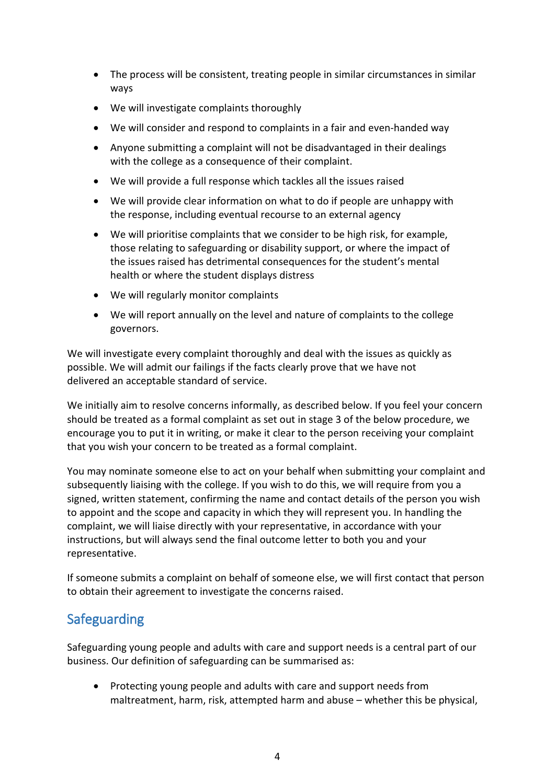- The process will be consistent, treating people in similar circumstances in similar ways
- We will investigate complaints thoroughly
- We will consider and respond to complaints in a fair and even-handed way
- Anyone submitting a complaint will not be disadvantaged in their dealings with the college as a consequence of their complaint.
- We will provide a full response which tackles all the issues raised
- We will provide clear information on what to do if people are unhappy with the response, including eventual recourse to an external agency
- We will prioritise complaints that we consider to be high risk, for example, those relating to safeguarding or disability support, or where the impact of the issues raised has detrimental consequences for the student's mental health or where the student displays distress
- We will regularly monitor complaints
- We will report annually on the level and nature of complaints to the college governors.

We will investigate every complaint thoroughly and deal with the issues as quickly as possible. We will admit our failings if the facts clearly prove that we have not delivered an acceptable standard of service.

We initially aim to resolve concerns informally, as described below. If you feel your concern should be treated as a formal complaint as set out in stage 3 of the below procedure, we encourage you to put it in writing, or make it clear to the person receiving your complaint that you wish your concern to be treated as a formal complaint.

You may nominate someone else to act on your behalf when submitting your complaint and subsequently liaising with the college. If you wish to do this, we will require from you a signed, written statement, confirming the name and contact details of the person you wish to appoint and the scope and capacity in which they will represent you. In handling the complaint, we will liaise directly with your representative, in accordance with your instructions, but will always send the final outcome letter to both you and your representative.

If someone submits a complaint on behalf of someone else, we will first contact that person to obtain their agreement to investigate the concerns raised.

#### <span id="page-3-0"></span>Safeguarding

Safeguarding young people and adults with care and support needs is a central part of our business. Our definition of safeguarding can be summarised as:

• Protecting young people and adults with care and support needs from maltreatment, harm, risk, attempted harm and abuse – whether this be physical,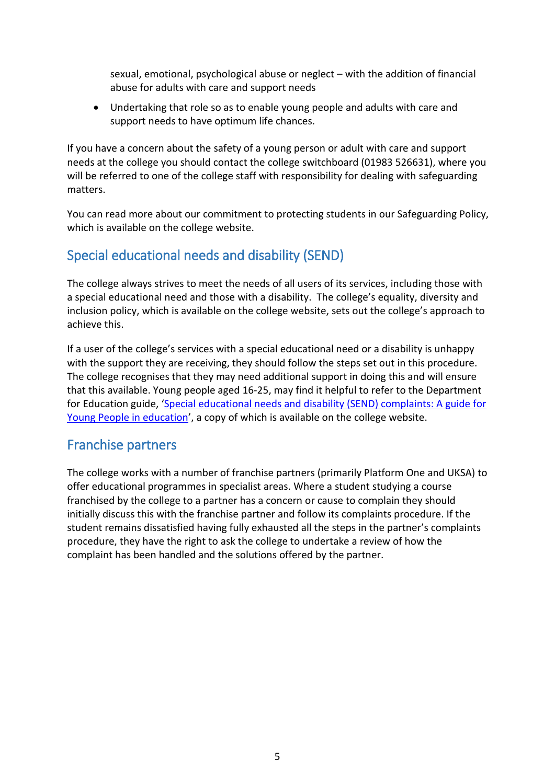sexual, emotional, psychological abuse or neglect – with the addition of financial abuse for adults with care and support needs

• Undertaking that role so as to enable young people and adults with care and support needs to have optimum life chances.

If you have a concern about the safety of a young person or adult with care and support needs at the college you should contact the college switchboard (01983 526631), where you will be referred to one of the college staff with responsibility for dealing with safeguarding matters.

You can read more about our commitment to protecting students in our Safeguarding Policy, which is available on the college website.

## <span id="page-4-0"></span>Special educational needs and disability (SEND)

The college always strives to meet the needs of all users of its services, including those with a special educational need and those with a disability. The college's equality, diversity and inclusion policy, which is available on the college website, sets out the college's approach to achieve this.

If a user of the college's services with a special educational need or a disability is unhappy with the support they are receiving, they should follow the steps set out in this procedure. The college recognises that they may need additional support in doing this and will ensure that this available. Young people aged 16-25, may find it helpful to refer to the Department for Education guide, ['Special educational needs and disability \(SEND\) complaints: A guide for](https://www.gov.uk/government/publications/send-complaints-guide-for-young-people-aged-16-to-25-in-education)  [Young People in education'](https://www.gov.uk/government/publications/send-complaints-guide-for-young-people-aged-16-to-25-in-education), a copy of which is available on the college website.

#### <span id="page-4-1"></span>Franchise partners

The college works with a number of franchise partners (primarily Platform One and UKSA) to offer educational programmes in specialist areas. Where a student studying a course franchised by the college to a partner has a concern or cause to complain they should initially discuss this with the franchise partner and follow its complaints procedure. If the student remains dissatisfied having fully exhausted all the steps in the partner's complaints procedure, they have the right to ask the college to undertake a review of how the complaint has been handled and the solutions offered by the partner.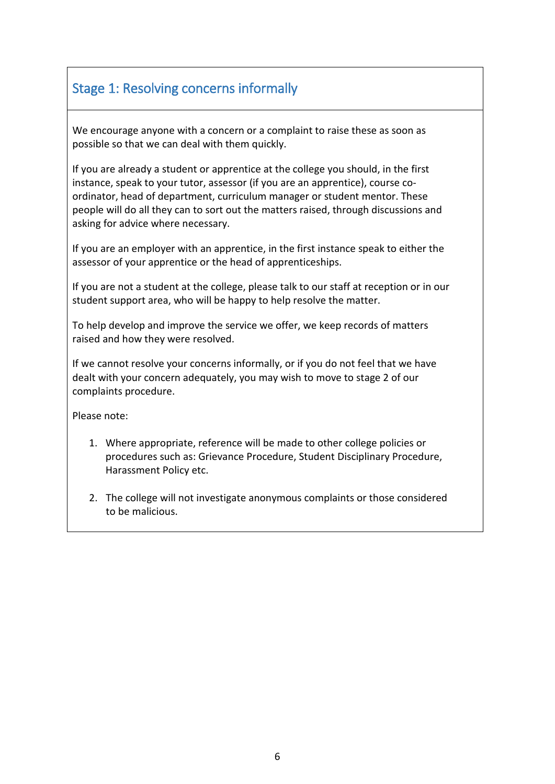# <span id="page-5-0"></span>Stage 1: Resolving concerns informally

We encourage anyone with a concern or a complaint to raise these as soon as possible so that we can deal with them quickly.

If you are already a student or apprentice at the college you should, in the first instance, speak to your tutor, assessor (if you are an apprentice), course coordinator, head of department, curriculum manager or student mentor. These people will do all they can to sort out the matters raised, through discussions and asking for advice where necessary.

If you are an employer with an apprentice, in the first instance speak to either the assessor of your apprentice or the head of apprenticeships.

If you are not a student at the college, please talk to our staff at reception or in our student support area, who will be happy to help resolve the matter.

To help develop and improve the service we offer, we keep records of matters raised and how they were resolved.

If we cannot resolve your concerns informally, or if you do not feel that we have dealt with your concern adequately, you may wish to move to stage 2 of our complaints procedure.

Please note:

- 1. Where appropriate, reference will be made to other college policies or procedures such as: Grievance Procedure, Student Disciplinary Procedure, Harassment Policy etc.
- 2. The college will not investigate anonymous complaints or those considered to be malicious.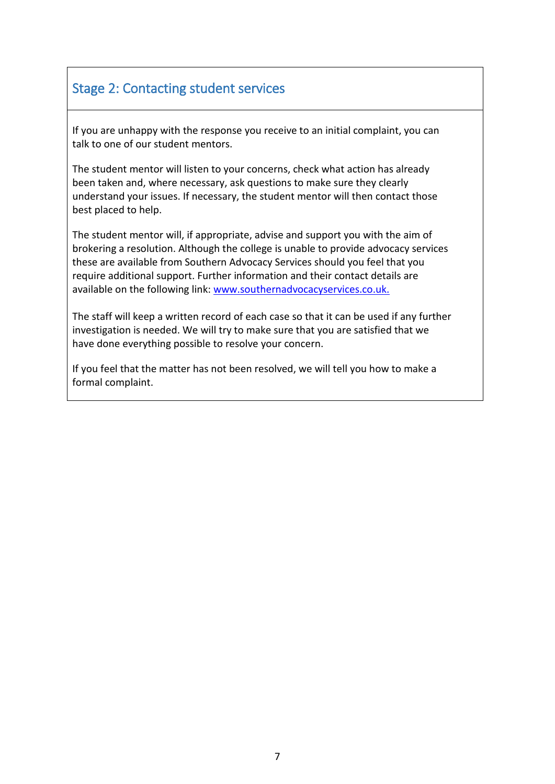## <span id="page-6-0"></span>Stage 2: Contacting student services

If you are unhappy with the response you receive to an initial complaint, you can talk to one of our student mentors.

The student mentor will listen to your concerns, check what action has already been taken and, where necessary, ask questions to make sure they clearly understand your issues. If necessary, the student mentor will then contact those best placed to help.

The student mentor will, if appropriate, advise and support you with the aim of brokering a resolution. Although the college is unable to provide advocacy services these are available from Southern Advocacy Services should you feel that you require additional support. Further information and their contact details are available on the following link: [www.southernadvocacyservices.co.uk.](http://www.southernadvocacyservices.co.uk/)

The staff will keep a written record of each case so that it can be used if any further investigation is needed. We will try to make sure that you are satisfied that we have done everything possible to resolve your concern.

If you feel that the matter has not been resolved, we will tell you how to make a formal complaint.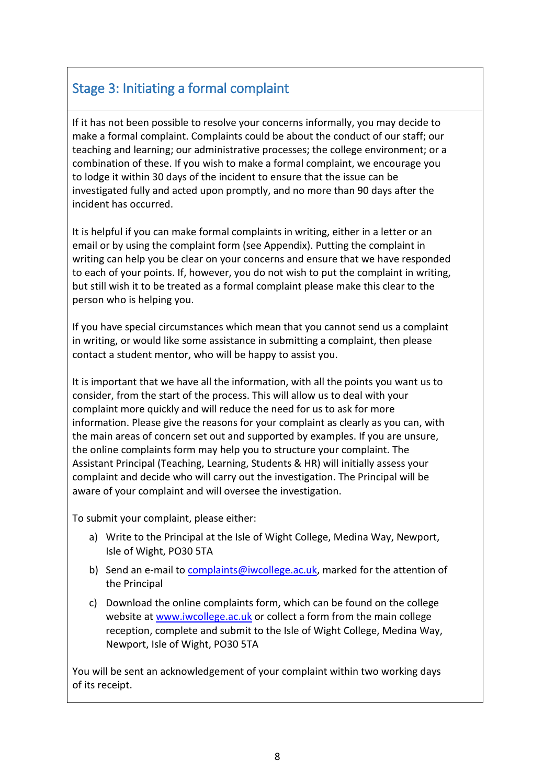# <span id="page-7-0"></span>Stage 3: Initiating a formal complaint

If it has not been possible to resolve your concerns informally, you may decide to make a formal complaint. Complaints could be about the conduct of our staff; our teaching and learning; our administrative processes; the college environment; or a combination of these. If you wish to make a formal complaint, we encourage you to lodge it within 30 days of the incident to ensure that the issue can be investigated fully and acted upon promptly, and no more than 90 days after the incident has occurred.

It is helpful if you can make formal complaints in writing, either in a letter or an email or by using the complaint form (see Appendix). Putting the complaint in writing can help you be clear on your concerns and ensure that we have responded to each of your points. If, however, you do not wish to put the complaint in writing, but still wish it to be treated as a formal complaint please make this clear to the person who is helping you.

If you have special circumstances which mean that you cannot send us a complaint in writing, or would like some assistance in submitting a complaint, then please contact a student mentor, who will be happy to assist you.

It is important that we have all the information, with all the points you want us to consider, from the start of the process. This will allow us to deal with your complaint more quickly and will reduce the need for us to ask for more information. Please give the reasons for your complaint as clearly as you can, with the main areas of concern set out and supported by examples. If you are unsure, the online complaints form may help you to structure your complaint. The Assistant Principal (Teaching, Learning, Students & HR) will initially assess your complaint and decide who will carry out the investigation. The Principal will be aware of your complaint and will oversee the investigation.

To submit your complaint, please either:

- a) Write to the Principal at the Isle of Wight College, Medina Way, Newport, Isle of Wight, PO30 5TA
- b) Send an e-mail to [complaints@iwcollege.ac.uk,](mailto:complaints@iwcollege.ac.uk) marked for the attention of the Principal
- c) Download the online complaints form, which can be found on the college website at [www.iwcollege.ac.uk](http://www.iwcollege.ac.uk/) or collect a form from the main college reception, complete and submit to the Isle of Wight College, Medina Way, Newport, Isle of Wight, PO30 5TA

You will be sent an acknowledgement of your complaint within two working days of its receipt.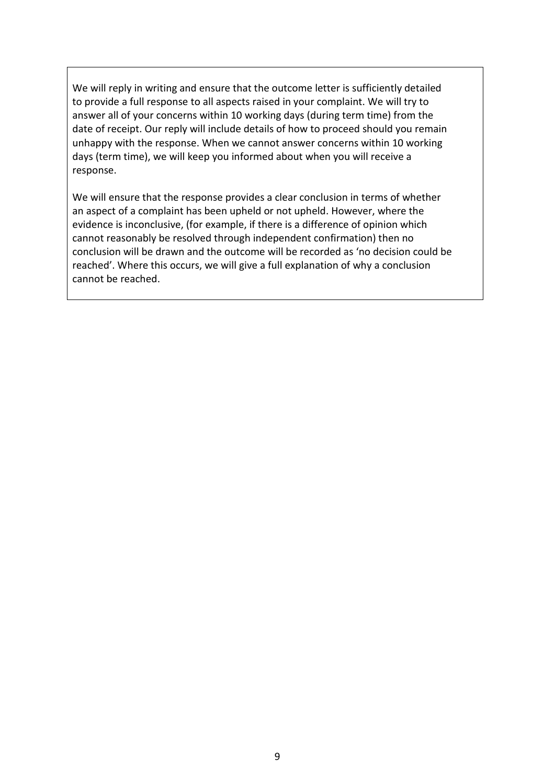We will reply in writing and ensure that the outcome letter is sufficiently detailed to provide a full response to all aspects raised in your complaint. We will try to answer all of your concerns within 10 working days (during term time) from the date of receipt. Our reply will include details of how to proceed should you remain unhappy with the response. When we cannot answer concerns within 10 working days (term time), we will keep you informed about when you will receive a response.

We will ensure that the response provides a clear conclusion in terms of whether an aspect of a complaint has been upheld or not upheld. However, where the evidence is inconclusive, (for example, if there is a difference of opinion which cannot reasonably be resolved through independent confirmation) then no conclusion will be drawn and the outcome will be recorded as 'no decision could be reached'. Where this occurs, we will give a full explanation of why a conclusion cannot be reached.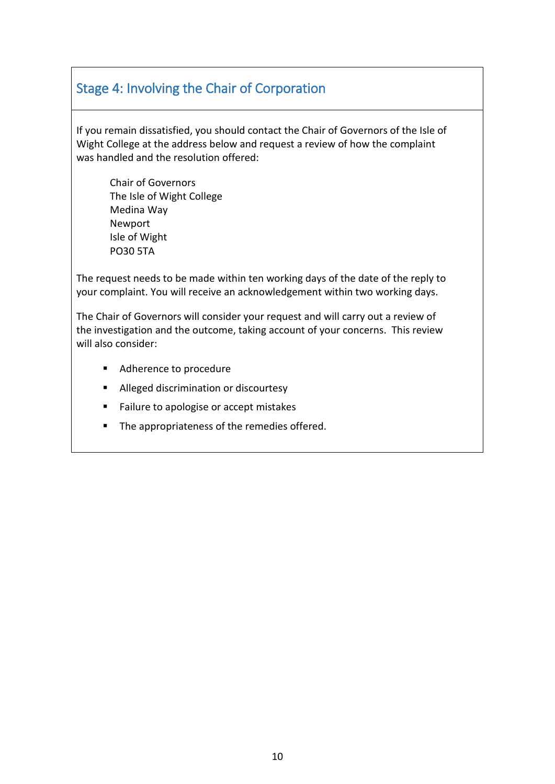# <span id="page-9-0"></span>Stage 4: Involving the Chair of Corporation

If you remain dissatisfied, you should contact the Chair of Governors of the Isle of Wight College at the address below and request a review of how the complaint was handled and the resolution offered:

Chair of Governors The Isle of Wight College Medina Way Newport Isle of Wight PO30 5TA

The request needs to be made within ten working days of the date of the reply to your complaint. You will receive an acknowledgement within two working days.

The Chair of Governors will consider your request and will carry out a review of the investigation and the outcome, taking account of your concerns. This review will also consider:

- Adherence to procedure
- **Alleged discrimination or discourtesy**
- Failure to apologise or accept mistakes
- **The appropriateness of the remedies offered.**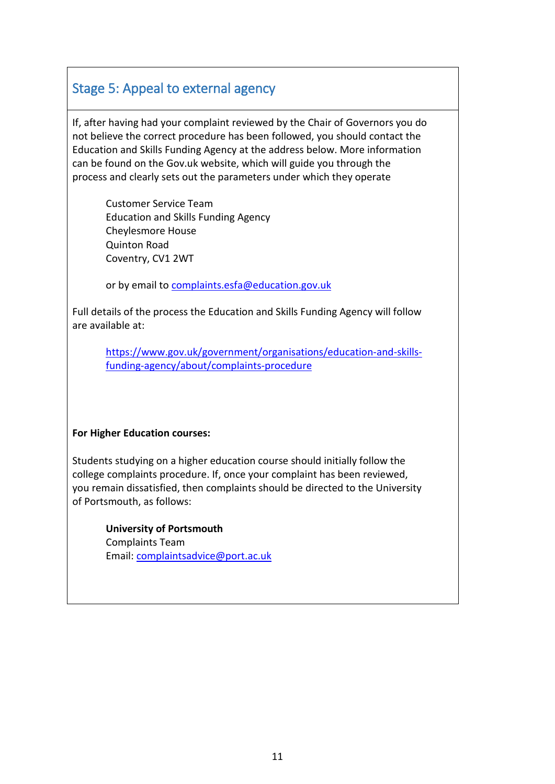## <span id="page-10-0"></span>Stage 5: Appeal to external agency

If, after having had your complaint reviewed by the Chair of Governors you do not believe the correct procedure has been followed, you should contact the Education and Skills Funding Agency at the address below. More information can be found on the Gov.uk website, which will guide you through the process and clearly sets out the parameters under which they operate

Customer Service Team Education and Skills Funding Agency Cheylesmore House Quinton Road Coventry, CV1 2WT

or by email to complaints.esfa@education.gov.uk

Full details of the process the Education and Skills Funding Agency will follow are available at:

[https://www.gov.uk/government/organisations/education-and-skills](https://www.gov.uk/government/organisations/education-and-skills-funding-agency/about/complaints-procedure)[funding-agency/about/complaints-procedure](https://www.gov.uk/government/organisations/education-and-skills-funding-agency/about/complaints-procedure)

#### **For Higher Education courses:**

Students studying on a higher education course should initially follow the college complaints procedure. If, once your complaint has been reviewed, you remain dissatisfied, then complaints should be directed to the University of Portsmouth, as follows:

**University of Portsmouth**  Complaints Team Email: complaintsadvice@port.ac.uk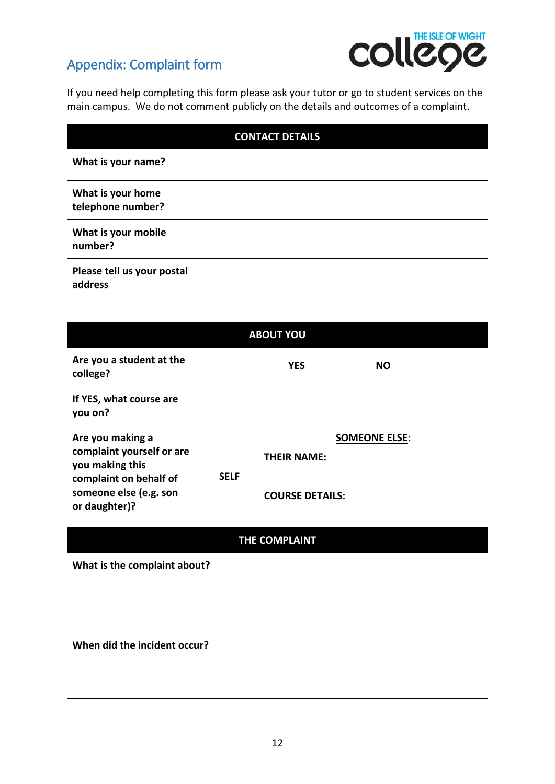# <span id="page-11-0"></span>Appendix: Complaint form



If you need help completing this form please ask your tutor or go to student services on the main campus. We do not comment publicly on the details and outcomes of a complaint.

| <b>CONTACT DETAILS</b>                                                                     |             |                        |                      |  |  |  |  |
|--------------------------------------------------------------------------------------------|-------------|------------------------|----------------------|--|--|--|--|
| What is your name?                                                                         |             |                        |                      |  |  |  |  |
| What is your home<br>telephone number?                                                     |             |                        |                      |  |  |  |  |
| What is your mobile<br>number?                                                             |             |                        |                      |  |  |  |  |
| Please tell us your postal<br>address                                                      |             |                        |                      |  |  |  |  |
| <b>ABOUT YOU</b>                                                                           |             |                        |                      |  |  |  |  |
| Are you a student at the<br>college?                                                       |             | <b>YES</b>             | <b>NO</b>            |  |  |  |  |
| If YES, what course are<br>you on?                                                         |             |                        |                      |  |  |  |  |
| Are you making a<br>complaint yourself or are<br>you making this<br>complaint on behalf of | <b>SELF</b> | <b>THEIR NAME:</b>     | <b>SOMEONE ELSE:</b> |  |  |  |  |
| someone else (e.g. son<br>or daughter)?                                                    |             | <b>COURSE DETAILS:</b> |                      |  |  |  |  |
| THE COMPLAINT                                                                              |             |                        |                      |  |  |  |  |
| What is the complaint about?                                                               |             |                        |                      |  |  |  |  |
| When did the incident occur?                                                               |             |                        |                      |  |  |  |  |